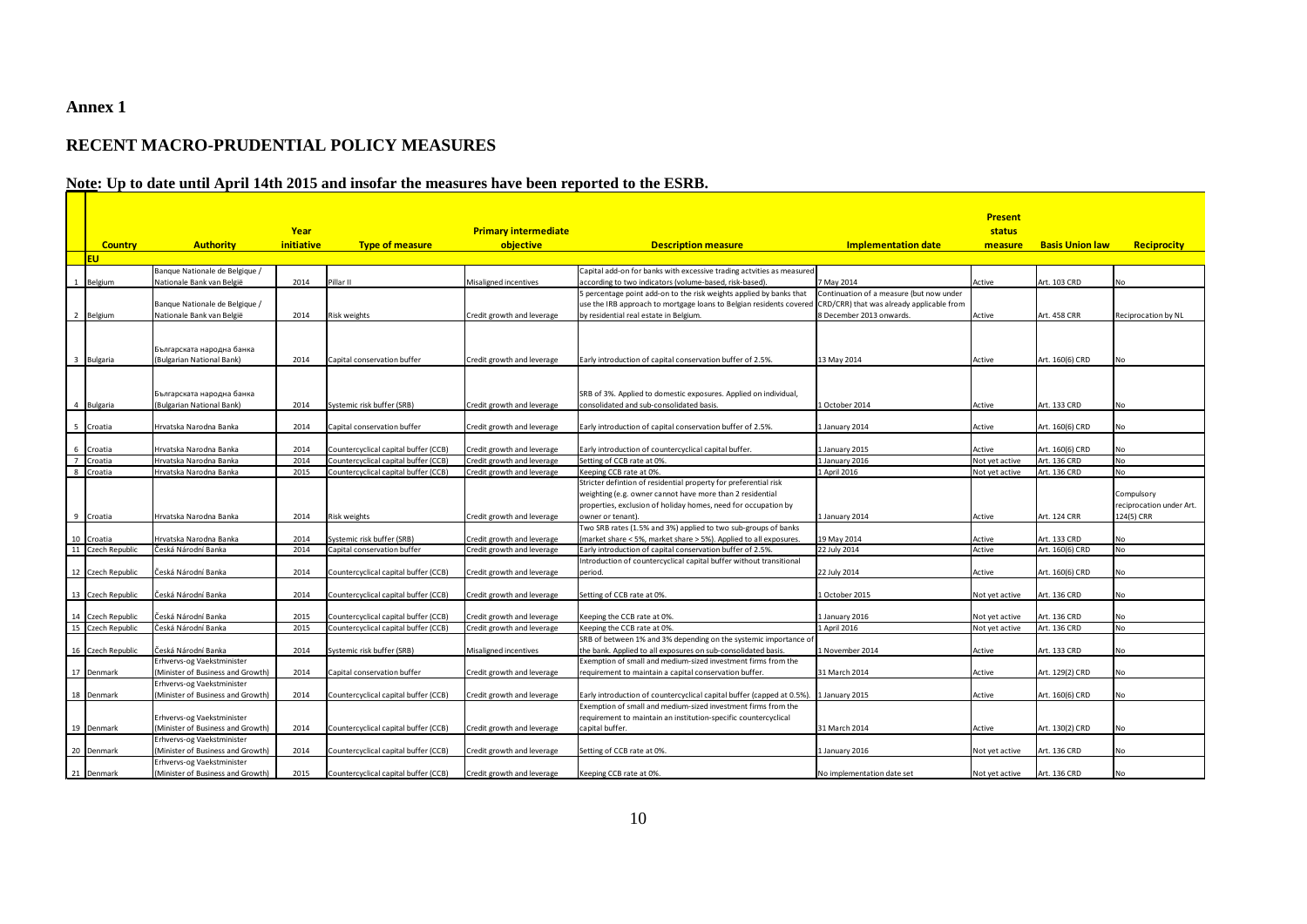## **Annex 1**

## **RECENT MACRO-PRUDENTIAL POLICY MEASURES**

## **Note: Up to date until April 14th 2015 and insofar the measures have been reported to the ESRB.**

|                           |                                   |            |                                      |                             |                                                                                                                                         |                                           | <b>Present</b> |                        |                          |
|---------------------------|-----------------------------------|------------|--------------------------------------|-----------------------------|-----------------------------------------------------------------------------------------------------------------------------------------|-------------------------------------------|----------------|------------------------|--------------------------|
|                           |                                   | Year       |                                      | <b>Primary intermediate</b> |                                                                                                                                         |                                           | status         |                        |                          |
| <b>Country</b>            | <b>Authority</b>                  | initiative | <b>Type of measure</b>               | objective                   | <b>Description measure</b>                                                                                                              | <b>Implementation date</b>                | measure        | <b>Basis Union law</b> | Reciprocity              |
| <b>EU</b>                 |                                   |            |                                      |                             |                                                                                                                                         |                                           |                |                        |                          |
|                           | Banque Nationale de Belgique /    |            |                                      |                             | Capital add-on for banks with excessive trading actvities as measured                                                                   |                                           |                |                        |                          |
| 1 Belgium                 | Nationale Bank van België         | 2014       | Pillar II                            | Misaligned incentives       | according to two indicators (volume-based, risk-based).                                                                                 | 7 May 2014                                | Active         | Art. 103 CRD           | <b>No</b>                |
|                           |                                   |            |                                      |                             | 5 percentage point add-on to the risk weights applied by banks that                                                                     | Continuation of a measure (but now under  |                |                        |                          |
|                           | Banque Nationale de Belgique /    |            |                                      |                             | use the IRB approach to mortgage loans to Belgian residents covered                                                                     | CRD/CRR) that was already applicable from |                |                        |                          |
| 2 Belgium                 | Nationale Bank van België         | 2014       | Risk weights                         | Credit growth and leverage  | by residential real estate in Belgium.                                                                                                  | 8 December 2013 onwards.                  | Active         | Art. 458 CRR           | Reciprocation by NL      |
|                           |                                   |            |                                      |                             |                                                                                                                                         |                                           |                |                        |                          |
|                           |                                   |            |                                      |                             |                                                                                                                                         |                                           |                |                        |                          |
|                           | Българската народна банка         |            |                                      |                             |                                                                                                                                         |                                           |                |                        |                          |
| 3 Bulgaria                | (Bulgarian National Bank)         | 2014       | Capital conservation buffer          | Credit growth and leverage  | Early introduction of capital conservation buffer of 2.5%.                                                                              | 13 May 2014                               | Active         | Art. 160(6) CRD        | No                       |
|                           |                                   |            |                                      |                             |                                                                                                                                         |                                           |                |                        |                          |
|                           | Българската народна банка         |            |                                      |                             | SRB of 3%. Applied to domestic exposures. Applied on individual,                                                                        |                                           |                |                        |                          |
| Bulgaria<br>4             | (Bulgarian National Bank)         | 2014       | Systemic risk buffer (SRB)           | Credit growth and leverage  | consolidated and sub-consolidated basis.                                                                                                | 1 October 2014                            | Active         | Art. 133 CRD           | No                       |
|                           |                                   |            |                                      |                             |                                                                                                                                         |                                           |                |                        |                          |
| 5 Croatia                 | Hrvatska Narodna Banka            | 2014       | Capital conservation buffer          | Credit growth and leverage  | Early introduction of capital conservation buffer of 2.5%.                                                                              | 1 January 2014                            | Active         | Art. 160(6) CRD        | <b>No</b>                |
|                           |                                   |            |                                      |                             |                                                                                                                                         |                                           |                |                        |                          |
| 6<br>Croatia              | Hrvatska Narodna Banka            | 2014       | Countercyclical capital buffer (CCB) | Credit growth and leverage  | Early introduction of countercyclical capital buffer.                                                                                   | 1 January 2015                            | Active         | Art. 160(6) CRD        | <b>No</b>                |
| $\overline{7}$<br>Croatia | Hrvatska Narodna Banka            | 2014       | Countercyclical capital buffer (CCB) | Credit growth and leverage  | Setting of CCB rate at 0%.                                                                                                              | 1 January 2016                            | Not yet active | Art. 136 CRD           | <b>No</b>                |
| 8 Croatia                 | Hrvatska Narodna Banka            | 2015       | Countercyclical capital buffer (CCB) | Credit growth and leverage  | Keeping CCB rate at 0%.                                                                                                                 | 1 April 2016                              | Not yet active | Art. 136 CRD           | <b>No</b>                |
|                           |                                   |            |                                      |                             | Stricter defintion of residential property for preferential risk                                                                        |                                           |                |                        |                          |
|                           |                                   |            |                                      |                             | weighting (e.g. owner cannot have more than 2 residential                                                                               |                                           |                |                        | Compulsory               |
|                           |                                   |            |                                      |                             | properties, exclusion of holiday homes, need for occupation by                                                                          |                                           |                |                        | reciprocation under Art. |
| 9 Croatia                 | Hrvatska Narodna Banka            | 2014       | Risk weights                         | Credit growth and leverage  | owner or tenant).                                                                                                                       | 1 January 2014                            | Active         | Art. 124 CRR           | 124(5) CRR               |
|                           |                                   |            |                                      |                             | Two SRB rates (1.5% and 3%) applied to two sub-groups of banks                                                                          |                                           |                |                        |                          |
| 10 Croatia                | Hrvatska Narodna Banka            | 2014       | Systemic risk buffer (SRB)           | Credit growth and leverage  | (market share < 5%, market share > 5%). Applied to all exposures.                                                                       | 19 May 2014                               | Active         | Art. 133 CRD           | <b>No</b>                |
| 11 Czech Republic         | Česká Národní Banka               | 2014       | Capital conservation buffer          | Credit growth and leverage  | Early introduction of capital conservation buffer of 2.5%.                                                                              | 22 July 2014                              | Active         | Art. 160(6) CRD        | <b>No</b>                |
|                           |                                   |            |                                      |                             | Introduction of countercyclical capital buffer without transitional                                                                     |                                           |                |                        |                          |
| 12 Czech Republic         | Česká Národní Banka               | 2014       | Countercyclical capital buffer (CCB) | Credit growth and leverage  | period.                                                                                                                                 | 22 July 2014                              | Active         | Art. 160(6) CRD        | No                       |
|                           |                                   |            |                                      |                             |                                                                                                                                         |                                           |                |                        |                          |
| 13 Czech Republic         | Česká Národní Banka               | 2014       | Countercyclical capital buffer (CCB) | Credit growth and leverage  | Setting of CCB rate at 0%.                                                                                                              | LOctober 2015                             | Not yet active | Art. 136 CRD           | <b>No</b>                |
|                           |                                   |            |                                      |                             |                                                                                                                                         |                                           |                |                        |                          |
| 14 Czech Republic         | Česká Národní Banka               | 2015       | Countercyclical capital buffer (CCB) | Credit growth and leverage  | Keeping the CCB rate at 0%.                                                                                                             | 1 January 2016                            | Not yet active | Art. 136 CRD           | <b>No</b>                |
| 15 Czech Republic         | Česká Národní Banka               | 2015       | Countercyclical capital buffer (CCB) | Credit growth and leverage  | Keeping the CCB rate at 0%.                                                                                                             | 1 April 2016                              | Not yet active | Art. 136 CRD           | <b>No</b>                |
|                           |                                   |            |                                      |                             | SRB of between 1% and 3% depending on the systemic importance of                                                                        |                                           |                |                        |                          |
| 16 Czech Republic         | Česká Národní Banka               | 2014       | Systemic risk buffer (SRB)           | Misaligned incentives       | the bank. Applied to all exposures on sub-consolidated basis.                                                                           | 1 November 2014                           | Active         | Art. 133 CRD           | <b>No</b>                |
|                           | Erhvervs-og Vaekstminister        |            |                                      |                             | Exemption of small and medium-sized investment firms from the                                                                           |                                           |                |                        |                          |
| 17 Denmark                | (Minister of Business and Growth) | 2014       | Capital conservation buffer          | Credit growth and leverage  | requirement to maintain a capital conservation buffer.                                                                                  | 31 March 2014                             | Active         | Art. 129(2) CRD        | <b>No</b>                |
|                           | Erhvervs-og Vaekstminister        |            |                                      |                             |                                                                                                                                         |                                           |                |                        | <b>No</b>                |
| 18 Denmark                | (Minister of Business and Growth) | 2014       | Countercyclical capital buffer (CCB) | Credit growth and leverage  | Early introduction of countercyclical capital buffer (capped at 0.5%).<br>Exemption of small and medium-sized investment firms from the | 1 January 2015                            | Active         | Art. 160(6) CRD        |                          |
|                           | Erhvervs-og Vaekstminister        |            |                                      |                             | requirement to maintain an institution-specific countercyclical                                                                         |                                           |                |                        |                          |
| 19 Denmark                | (Minister of Business and Growth) | 2014       | Countercyclical capital buffer (CCB) | Credit growth and leverage  | capital buffer.                                                                                                                         | 31 March 2014                             | Active         | Art. 130(2) CRD        | <b>No</b>                |
|                           | Erhvervs-og Vaekstminister        |            |                                      |                             |                                                                                                                                         |                                           |                |                        |                          |
| 20 Denmark                | (Minister of Business and Growth) | 2014       | Countercyclical capital buffer (CCB) | Credit growth and leverage  | Setting of CCB rate at 0%.                                                                                                              | L January 2016                            | Not yet active | Art. 136 CRD           | No                       |
|                           |                                   |            |                                      |                             |                                                                                                                                         |                                           |                |                        |                          |
|                           | Erhvervs-og Vaekstminister        |            |                                      |                             |                                                                                                                                         |                                           |                |                        |                          |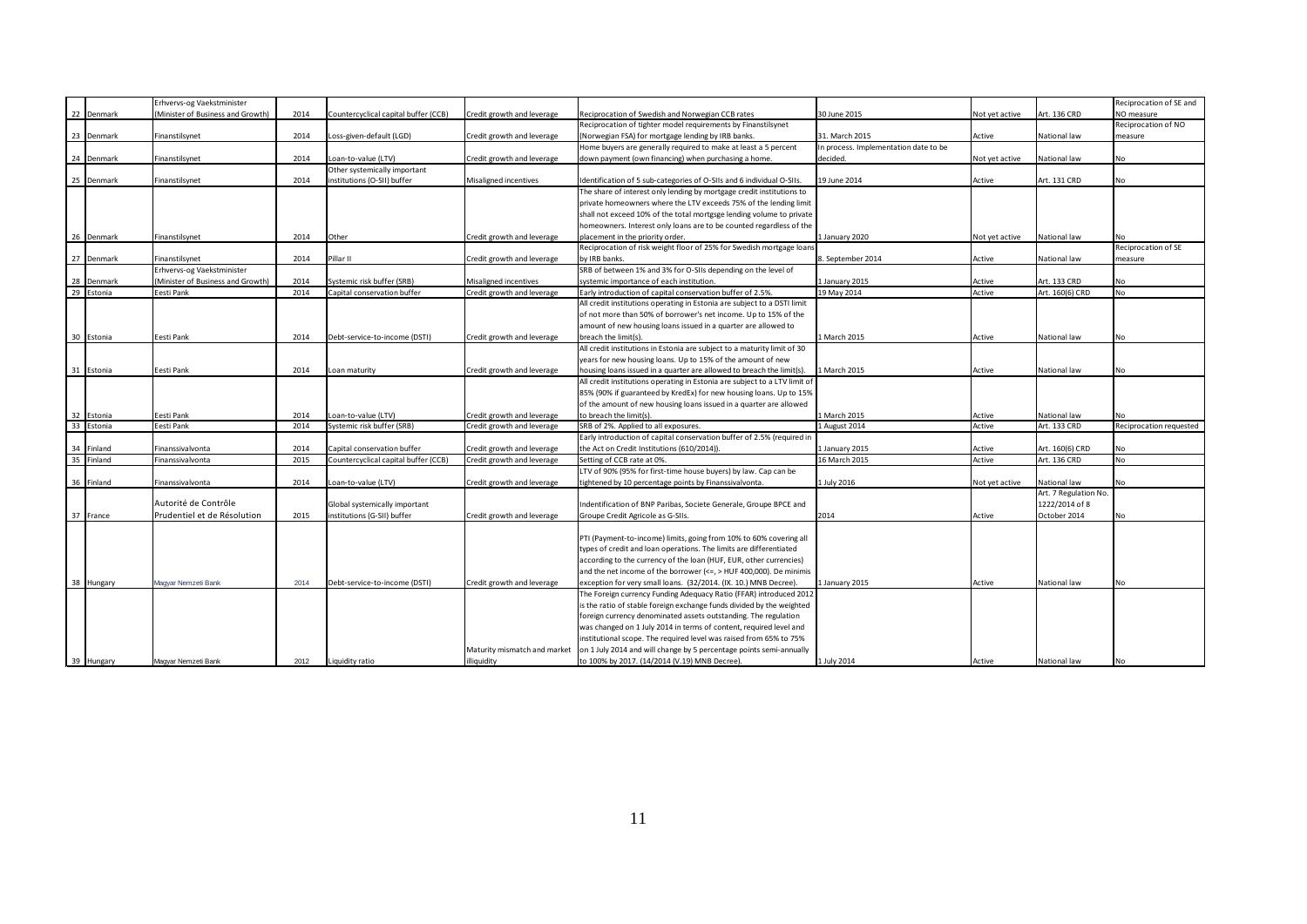|            | Erhvervs-og Vaekstminister        |      |                                      |                              |                                                                            |                                       |                |                       | Reciprocation of SE and |
|------------|-----------------------------------|------|--------------------------------------|------------------------------|----------------------------------------------------------------------------|---------------------------------------|----------------|-----------------------|-------------------------|
| 22 Denmark | (Minister of Business and Growth) | 2014 | Countercyclical capital buffer (CCB) | Credit growth and leverage   | Reciprocation of Swedish and Norwegian CCB rates                           | 30 June 2015                          | Not yet active | Art. 136 CRD          | NO measure              |
|            |                                   |      |                                      |                              | Reciprocation of tighter model requirements by Finanstilsynet              |                                       |                |                       | Reciprocation of NO     |
| 23 Denmark | Finanstilsynet                    | 2014 | Loss-given-default (LGD)             | Credit growth and leverage   | (Norwegian FSA) for mortgage lending by IRB banks.                         | 31. March 2015                        | Active         | National law          | measure                 |
|            |                                   |      |                                      |                              | Home buyers are generally required to make at least a 5 percent            | In process. Implementation date to be |                |                       |                         |
| 24 Denmark | Finanstilsynet                    | 2014 | Loan-to-value (LTV)                  | Credit growth and leverage   | down payment (own financing) when purchasing a home.                       | decided.                              | Not yet active | National law          | No                      |
|            |                                   |      | Other systemically important         |                              |                                                                            |                                       |                |                       |                         |
| 25 Denmark | Finanstilsynet                    | 2014 | institutions (O-SII) buffer          | Misaligned incentives        | Identification of 5 sub-categories of O-SIIs and 6 individual O-SIIs.      | 19 June 2014                          | Active         | Art. 131 CRD          | No                      |
|            |                                   |      |                                      |                              | The share of interest only lending by mortgage credit institutions to      |                                       |                |                       |                         |
|            |                                   |      |                                      |                              | private homeowners where the LTV exceeds 75% of the lending limit          |                                       |                |                       |                         |
|            |                                   |      |                                      |                              | shall not exceed 10% of the total mortgsge lending volume to private       |                                       |                |                       |                         |
|            |                                   |      |                                      |                              | homeowners. Interest only loans are to be counted regardless of the        |                                       |                |                       |                         |
| 26 Denmark | Finanstilsynet                    | 2014 | Other                                | Credit growth and leverage   | placement in the priority order.                                           | 1 January 2020                        | Not yet active | National law          | No                      |
|            |                                   |      |                                      |                              | Reciprocation of risk weight floor of 25% for Swedish mortgage loans       |                                       |                |                       | Reciprocation of SE     |
| 27 Denmark | Finanstilsynet                    | 2014 | Pillar II                            | Credit growth and leverage   | by IRB banks.                                                              | 8. September 2014                     | Active         | National law          | measure                 |
|            | Erhvervs-og Vaekstminister        |      |                                      |                              | SRB of between 1% and 3% for O-SIIs depending on the level of              |                                       |                |                       |                         |
|            |                                   |      |                                      |                              |                                                                            |                                       |                |                       |                         |
| 28 Denmark | (Minister of Business and Growth) | 2014 | Systemic risk buffer (SRB)           | Misaligned incentives        | systemic importance of each institution.                                   | 1 January 2015                        | Active         | Art. 133 CRD          | No<br><b>No</b>         |
| 29 Estonia | Eesti Pank                        | 2014 | Capital conservation buffer          | Credit growth and leverage   | Early introduction of capital conservation buffer of 2.5%.                 | 19 May 2014                           | Active         | Art. 160(6) CRD       |                         |
|            |                                   |      |                                      |                              | All credit institutions operating in Estonia are subject to a DSTI limit   |                                       |                |                       |                         |
|            |                                   |      |                                      |                              | of not more than 50% of borrower's net income. Up to 15% of the            |                                       |                |                       |                         |
|            |                                   |      |                                      |                              | amount of new housing loans issued in a quarter are allowed to             |                                       |                |                       |                         |
| 30 Estonia | Eesti Pank                        | 2014 | Debt-service-to-income (DSTI)        | Credit growth and leverage   | breach the limit(s).                                                       | 1 March 2015                          | Active         | National law          | No                      |
|            |                                   |      |                                      |                              | All credit institutions in Estonia are subject to a maturity limit of 30   |                                       |                |                       |                         |
|            |                                   |      |                                      |                              | years for new housing loans. Up to 15% of the amount of new                |                                       |                |                       |                         |
| 31 Estonia | Eesti Pank                        | 2014 | Loan maturity                        | Credit growth and leverage   | housing loans issued in a quarter are allowed to breach the limit(s).      | 1 March 2015                          | Active         | National law          | No                      |
|            |                                   |      |                                      |                              | All credit institutions operating in Estonia are subject to a LTV limit of |                                       |                |                       |                         |
|            |                                   |      |                                      |                              | 85% (90% if guaranteed by KredEx) for new housing loans. Up to 15%         |                                       |                |                       |                         |
|            |                                   |      |                                      |                              | of the amount of new housing loans issued in a quarter are allowed         |                                       |                |                       |                         |
| 32 Estonia | Eesti Pank                        | 2014 | Loan-to-value (LTV)                  | Credit growth and leverage   | to breach the limit(s).                                                    | 1 March 2015                          | Active         | National law          | No.                     |
| 33 Estonia | Eesti Pank                        | 2014 | Systemic risk buffer (SRB)           | Credit growth and leverage   | SRB of 2%. Applied to all exposures.                                       | 1 August 2014                         | Active         | Art. 133 CRD          | Reciprocation requested |
|            |                                   |      |                                      |                              | Early introduction of capital conservation buffer of 2.5% (required in     |                                       |                |                       |                         |
| 34 Finland | Finanssivalvonta                  | 2014 | Capital conservation buffer          | Credit growth and leverage   | the Act on Credit Institutions (610/2014)).                                | 1 January 2015                        | Active         | Art. 160(6) CRD       | No                      |
| 35 Finland | Finanssivalvonta                  | 2015 | Countercyclical capital buffer (CCB) | Credit growth and leverage   | Setting of CCB rate at 0%.                                                 | 16 March 2015                         | Active         | Art. 136 CRD          | No.                     |
|            |                                   |      |                                      |                              | LTV of 90% (95% for first-time house buyers) by law. Cap can be            |                                       |                |                       |                         |
| 36 Finland | Finanssivalvonta                  | 2014 | Loan-to-value (LTV)                  | Credit growth and leverage   | tightened by 10 percentage points by Finanssivalvonta.                     | 1 July 2016                           | Not yet active | National law          | No                      |
|            |                                   |      |                                      |                              |                                                                            |                                       |                | Art. 7 Regulation No. |                         |
|            | Autorité de Contrôle              |      | Global systemically important        |                              | Indentification of BNP Paribas, Societe Generale, Groupe BPCE and          |                                       |                | 1222/2014 of 8        |                         |
| 37 France  | Prudentiel et de Résolution       | 2015 | institutions (G-SII) buffer          | Credit growth and leverage   | Groupe Credit Agricole as G-SIIs.                                          | 2014                                  | Active         | October 2014          | No                      |
|            |                                   |      |                                      |                              |                                                                            |                                       |                |                       |                         |
|            |                                   |      |                                      |                              | PTI (Payment-to-income) limits, going from 10% to 60% covering all         |                                       |                |                       |                         |
|            |                                   |      |                                      |                              | types of credit and loan operations. The limits are differentiated         |                                       |                |                       |                         |
|            |                                   |      |                                      |                              | according to the currency of the loan (HUF, EUR, other currencies)         |                                       |                |                       |                         |
|            |                                   |      |                                      |                              | and the net income of the borrower ( $\leq$ , > HUF 400,000). De minimis   |                                       |                |                       |                         |
| 38 Hungary | Magyar Nemzeti Bank               | 2014 | Debt-service-to-income (DSTI)        | Credit growth and leverage   | exception for very small loans. (32/2014. (IX. 10.) MNB Decree).           | L January 2015                        | Active         | National law          | No                      |
|            |                                   |      |                                      |                              | The Foreign currency Funding Adequacy Ratio (FFAR) introduced 2012         |                                       |                |                       |                         |
|            |                                   |      |                                      |                              | is the ratio of stable foreign exchange funds divided by the weighted      |                                       |                |                       |                         |
|            |                                   |      |                                      |                              | foreign currency denominated assets outstanding. The regulation            |                                       |                |                       |                         |
|            |                                   |      |                                      |                              | was changed on 1 July 2014 in terms of content, required level and         |                                       |                |                       |                         |
|            |                                   |      |                                      |                              | institutional scope. The required level was raised from 65% to 75%         |                                       |                |                       |                         |
|            |                                   |      |                                      | Maturity mismatch and market | on 1 July 2014 and will change by 5 percentage points semi-annually        |                                       |                |                       |                         |
| 39 Hungary | Magyar Nemzeti Bank               | 2012 | Liquidity ratio                      | illiquidity                  | to 100% by 2017. (14/2014 (V.19) MNB Decree).                              | 1 July 2014                           | Active         | National law          | <b>No</b>               |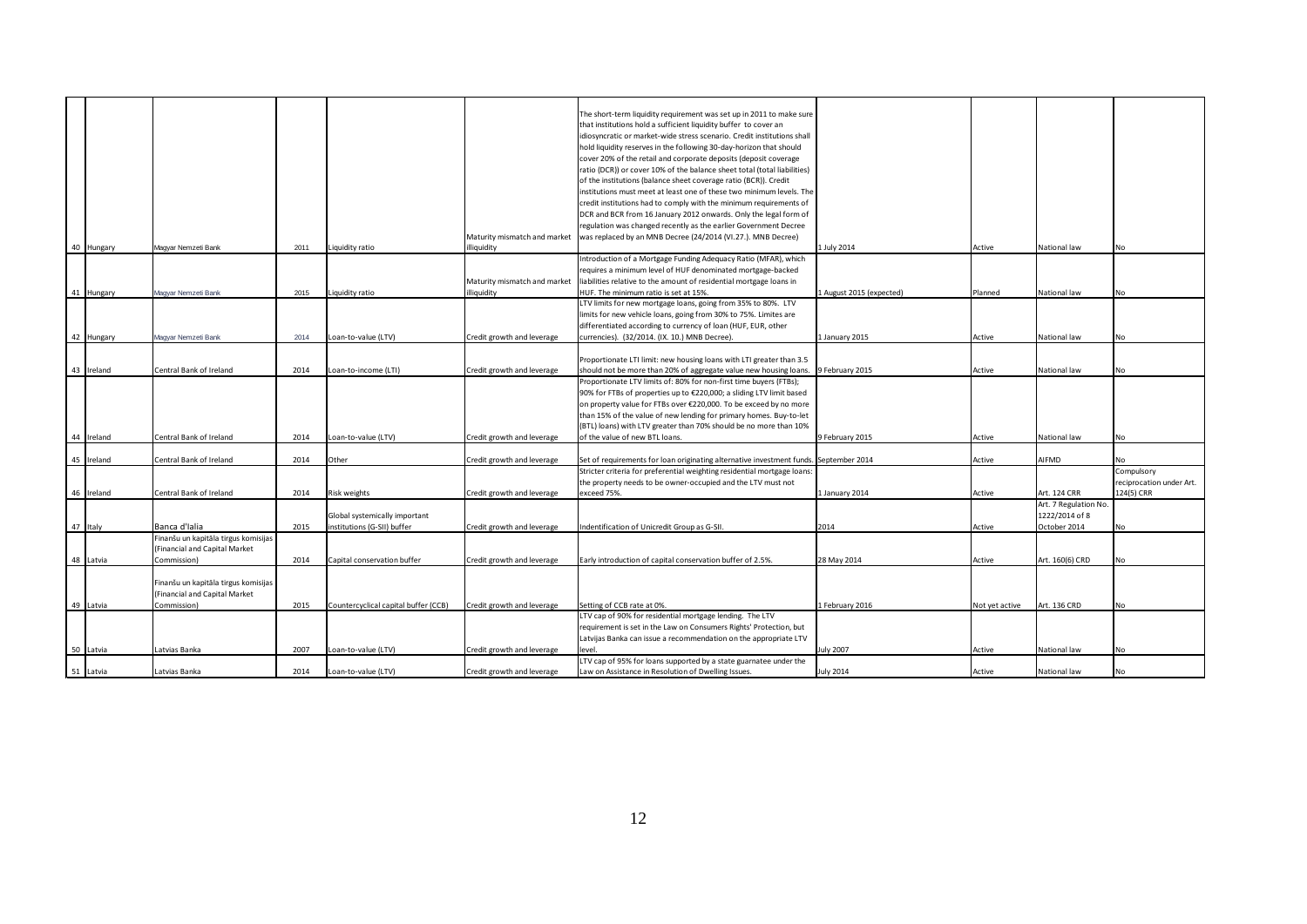|            |                                      |      |                                      |                              | The short-term liquidity requirement was set up in 2011 to make sure                  |                          |                |                       |                          |
|------------|--------------------------------------|------|--------------------------------------|------------------------------|---------------------------------------------------------------------------------------|--------------------------|----------------|-----------------------|--------------------------|
|            |                                      |      |                                      |                              | that institutions hold a sufficient liquidity buffer to cover an                      |                          |                |                       |                          |
|            |                                      |      |                                      |                              | idiosyncratic or market-wide stress scenario. Credit institutions shall               |                          |                |                       |                          |
|            |                                      |      |                                      |                              | hold liquidity reserves in the following 30-day-horizon that should                   |                          |                |                       |                          |
|            |                                      |      |                                      |                              | cover 20% of the retail and corporate deposits (deposit coverage                      |                          |                |                       |                          |
|            |                                      |      |                                      |                              | ratio (DCR)) or cover 10% of the balance sheet total (total liabilities)              |                          |                |                       |                          |
|            |                                      |      |                                      |                              | of the institutions (balance sheet coverage ratio (BCR)). Credit                      |                          |                |                       |                          |
|            |                                      |      |                                      |                              | institutions must meet at least one of these two minimum levels. The                  |                          |                |                       |                          |
|            |                                      |      |                                      |                              | credit institutions had to comply with the minimum requirements of                    |                          |                |                       |                          |
|            |                                      |      |                                      |                              | DCR and BCR from 16 January 2012 onwards. Only the legal form of                      |                          |                |                       |                          |
|            |                                      |      |                                      |                              | regulation was changed recently as the earlier Government Decree                      |                          |                |                       |                          |
|            |                                      |      |                                      | Maturity mismatch and market | was replaced by an MNB Decree (24/2014 (VI.27.). MNB Decree)                          |                          |                |                       |                          |
| 40 Hungary | Magyar Nemzeti Bank                  | 2011 | Liquidity ratio                      | illiquidity                  |                                                                                       | 1 July 2014              | Active         | National law          | No                       |
|            |                                      |      |                                      |                              | Introduction of a Mortgage Funding Adequacy Ratio (MFAR), which                       |                          |                |                       |                          |
|            |                                      |      |                                      |                              | requires a minimum level of HUF denominated mortgage-backed                           |                          |                |                       |                          |
|            |                                      |      |                                      |                              |                                                                                       |                          |                |                       |                          |
|            |                                      |      |                                      | Maturity mismatch and market | liabilities relative to the amount of residential mortgage loans in                   |                          |                |                       |                          |
| 41 Hungary | Magyar Nemzeti Bank                  | 2015 | iquidity ratio                       | illiquidity                  | HUF. The minimum ratio is set at 15%.                                                 | 1 August 2015 (expected) | Planned        | National law          | <b>No</b>                |
|            |                                      |      |                                      |                              | LTV limits for new mortgage loans, going from 35% to 80%. LTV                         |                          |                |                       |                          |
|            |                                      |      |                                      |                              | limits for new vehicle loans, going from 30% to 75%. Limites are                      |                          |                |                       |                          |
|            |                                      |      |                                      |                              | differentiated according to currency of loan (HUF, EUR, other                         |                          |                |                       |                          |
| 42 Hungary | Magyar Nemzeti Bank                  | 2014 | Loan-to-value (LTV)                  | Credit growth and leverage   | currencies). (32/2014. (IX. 10.) MNB Decree).                                         | 1 January 2015           | Active         | National law          | <b>No</b>                |
|            |                                      |      |                                      |                              |                                                                                       |                          |                |                       |                          |
|            |                                      |      |                                      |                              | Proportionate LTI limit: new housing loans with LTI greater than 3.5                  |                          |                |                       |                          |
| 43 Ireland | Central Bank of Ireland              | 2014 | .oan-to-income (LTI)                 | Credit growth and leverage   | should not be more than 20% of aggregate value new housing loans. 9 February 2015     |                          | Active         | National law          | <b>No</b>                |
|            |                                      |      |                                      |                              | Proportionate LTV limits of: 80% for non-first time buyers (FTBs);                    |                          |                |                       |                          |
|            |                                      |      |                                      |                              | 90% for FTBs of properties up to €220,000; a sliding LTV limit based                  |                          |                |                       |                          |
|            |                                      |      |                                      |                              | on property value for FTBs over €220,000. To be exceed by no more                     |                          |                |                       |                          |
|            |                                      |      |                                      |                              | than 15% of the value of new lending for primary homes. Buy-to-let                    |                          |                |                       |                          |
|            |                                      |      |                                      |                              | (BTL) loans) with LTV greater than 70% should be no more than 10%                     |                          |                |                       |                          |
| 44 Ireland | Central Bank of Ireland              | 2014 | Loan-to-value (LTV)                  | Credit growth and leverage   | of the value of new BTL loans.                                                        | 9 February 2015          | Active         | National law          | <b>No</b>                |
|            |                                      |      |                                      |                              |                                                                                       |                          |                |                       |                          |
| 45 Ireland | Central Bank of Ireland              | 2014 | Other                                | Credit growth and leverage   | Set of requirements for loan originating alternative investment funds. September 2014 |                          | Active         | AIFMD                 | <b>No</b>                |
|            |                                      |      |                                      |                              | Stricter criteria for preferential weighting residential mortgage loans:              |                          |                |                       | Compulsory               |
|            |                                      |      |                                      |                              | the property needs to be owner-occupied and the LTV must not                          |                          |                |                       | reciprocation under Art. |
| 46 Ireland | Central Bank of Ireland              | 2014 | Risk weights                         | Credit growth and leverage   | exceed 75%.                                                                           | 1 January 2014           | Active         | Art. 124 CRR          | 124(5) CRR               |
|            |                                      |      |                                      |                              |                                                                                       |                          |                | Art. 7 Regulation No. |                          |
|            |                                      |      | Global systemically important        |                              |                                                                                       |                          |                | 1222/2014 of 8        |                          |
| 47 Italy   | Banca d'Ialia                        | 2015 | institutions (G-SII) buffer          | Credit growth and leverage   | Indentification of Unicredit Group as G-SII.                                          | 2014                     | Active         | October 2014          | <b>No</b>                |
|            | Finanšu un kapitāla tirgus komisijas |      |                                      |                              |                                                                                       |                          |                |                       |                          |
|            | (Financial and Capital Market        |      |                                      |                              |                                                                                       |                          |                |                       |                          |
| 48 Latvia  | Commission)                          | 2014 | Capital conservation buffer          | Credit growth and leverage   | Early introduction of capital conservation buffer of 2.5%.                            | 28 May 2014              | Active         | Art. 160(6) CRD       | <b>No</b>                |
|            |                                      |      |                                      |                              |                                                                                       |                          |                |                       |                          |
|            |                                      |      |                                      |                              |                                                                                       |                          |                |                       |                          |
|            | Finanšu un kapitāla tirgus komisijas |      |                                      |                              |                                                                                       |                          |                |                       |                          |
|            | (Financial and Capital Market        |      |                                      |                              |                                                                                       |                          |                |                       |                          |
| 49 Latvia  | Commission)                          | 2015 | Countercyclical capital buffer (CCB) | Credit growth and leverage   | Setting of CCB rate at 0%.                                                            | 1 February 2016          | Not yet active | Art. 136 CRD          | <b>No</b>                |
|            |                                      |      |                                      |                              | LTV cap of 90% for residential mortgage lending. The LTV                              |                          |                |                       |                          |
|            |                                      |      |                                      |                              | requirement is set in the Law on Consumers Rights' Protection, but                    |                          |                |                       |                          |
|            |                                      |      |                                      |                              | Latvijas Banka can issue a recommendation on the appropriate LTV                      |                          |                |                       |                          |
| 50 Latvia  | Latvias Banka                        | 2007 | Loan-to-value (LTV)                  | Credit growth and leverage   | level.                                                                                | <b>July 2007</b>         | Active         | National law          | No                       |
|            |                                      |      |                                      |                              | LTV cap of 95% for loans supported by a state guarnatee under the                     |                          |                |                       |                          |
| 51 Latvia  | Latvias Banka                        | 2014 | Loan-to-value (LTV)                  | Credit growth and leverage   | Law on Assistance in Resolution of Dwelling Issues.                                   | <b>July 2014</b>         | Active         | National law          | No                       |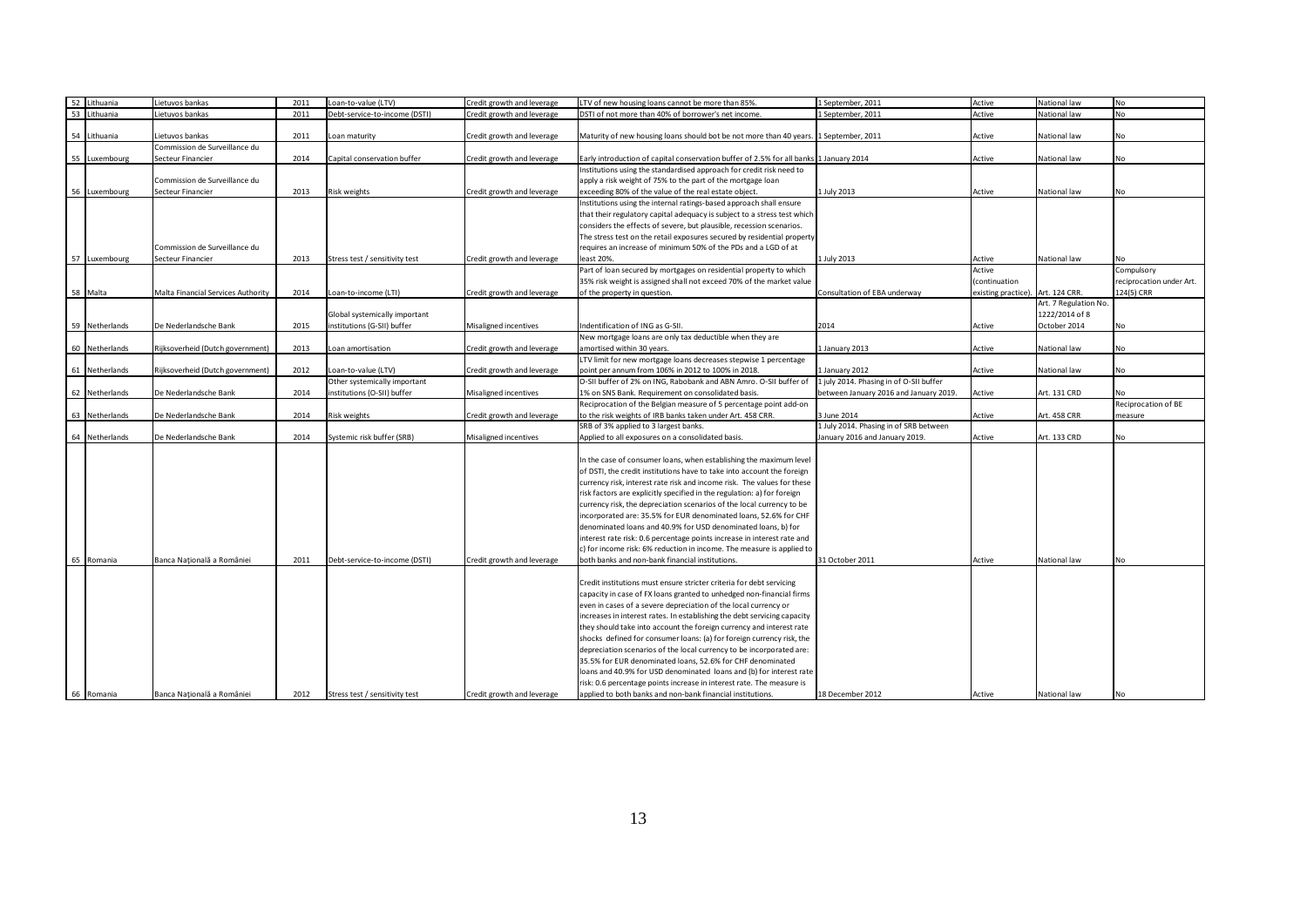| 52<br>Lithuania | Lietuvos bankas                    | 2011 | Loan-to-value (LTV)            | Credit growth and leverage | LTV of new housing loans cannot be more than 85%.                                      | 1 September, 2011                       | Active                            | National law          | <b>No</b>                |
|-----------------|------------------------------------|------|--------------------------------|----------------------------|----------------------------------------------------------------------------------------|-----------------------------------------|-----------------------------------|-----------------------|--------------------------|
| 53 Lithuania    | Lietuvos bankas                    | 2011 | Debt-service-to-income (DSTI)  | Credit growth and leverage | DSTI of not more than 40% of borrower's net income.                                    | 1 September, 2011                       | Active                            | National law          | <b>No</b>                |
|                 |                                    |      |                                |                            |                                                                                        |                                         |                                   |                       |                          |
|                 |                                    |      |                                |                            |                                                                                        |                                         |                                   |                       |                          |
| 54 Lithuania    | Lietuvos bankas                    | 2011 | Loan maturity                  | Credit growth and leverage | Maturity of new housing loans should bot be not more than 40 years. 1 September, 2011  |                                         | Active                            | National law          | No                       |
|                 | Commission de Surveillance du      |      |                                |                            |                                                                                        |                                         |                                   |                       |                          |
| 55 Luxembourg   | Secteur Financier                  | 2014 | Capital conservation buffer    | Credit growth and leverage | Early introduction of capital conservation buffer of 2.5% for all banks 1 January 2014 |                                         | Active                            | National law          | No                       |
|                 |                                    |      |                                |                            | Institutions using the standardised approach for credit risk need to                   |                                         |                                   |                       |                          |
|                 | Commission de Surveillance du      |      |                                |                            | apply a risk weight of 75% to the part of the mortgage loan                            |                                         |                                   |                       |                          |
| 56 Luxembourg   | Secteur Financier                  | 2013 | Risk weights                   | Credit growth and leverage | exceeding 80% of the value of the real estate object.                                  | 1 July 2013                             | Active                            | National law          | No                       |
|                 |                                    |      |                                |                            | Institutions using the internal ratings-based approach shall ensure                    |                                         |                                   |                       |                          |
|                 |                                    |      |                                |                            | that their regulatory capital adequacy is subject to a stress test which               |                                         |                                   |                       |                          |
|                 |                                    |      |                                |                            | considers the effects of severe, but plausible, recession scenarios.                   |                                         |                                   |                       |                          |
|                 |                                    |      |                                |                            | The stress test on the retail exposures secured by residential property                |                                         |                                   |                       |                          |
|                 | Commission de Surveillance du      |      |                                |                            | requires an increase of minimum 50% of the PDs and a LGD of at                         |                                         |                                   |                       |                          |
| 57 Luxembourg   |                                    |      |                                |                            |                                                                                        |                                         |                                   |                       |                          |
|                 | Secteur Financier                  | 2013 | Stress test / sensitivity test | Credit growth and leverage | least 20%                                                                              | 1 July 2013                             | Active                            | National law          | No                       |
|                 |                                    |      |                                |                            | Part of loan secured by mortgages on residential property to which                     |                                         | Active                            |                       | Compulsory               |
|                 |                                    |      |                                |                            | 35% risk weight is assigned shall not exceed 70% of the market value                   |                                         | (continuation                     |                       | reciprocation under Art. |
| 58 Malta        | Malta Financial Services Authority | 2014 | Loan-to-income (LTI)           | Credit growth and leverage | of the property in question.                                                           | Consultation of EBA underway            | existing practice). Art. 124 CRR. |                       | 124(5) CRR               |
|                 |                                    |      |                                |                            |                                                                                        |                                         |                                   | Art. 7 Regulation No. |                          |
|                 |                                    |      | Global systemically important  |                            |                                                                                        |                                         |                                   | 1222/2014 of 8        |                          |
| 59 Netherlands  | De Nederlandsche Bank              | 2015 | institutions (G-SII) buffer    | Misaligned incentives      | Indentification of ING as G-SII                                                        | 2014                                    | Active                            | October 2014          | No                       |
|                 |                                    |      |                                |                            | New mortgage loans are only tax deductible when they are                               |                                         |                                   |                       |                          |
| 60 Netherlands  | Rijksoverheid (Dutch government)   | 2013 | oan amortisation.              | Credit growth and leverage | amortised within 30 years.                                                             | 1 January 2013                          | Active                            | National law          | No                       |
|                 |                                    |      |                                |                            | LTV limit for new mortgage loans decreases stepwise 1 percentage                       |                                         |                                   |                       |                          |
|                 |                                    | 2012 |                                |                            |                                                                                        |                                         |                                   |                       | No                       |
| 61 Netherlands  | Rijksoverheid (Dutch government)   |      | Loan-to-value (LTV)            | Credit growth and leverage | point per annum from 106% in 2012 to 100% in 2018.                                     | 1 January 2012                          | Active                            | National law          |                          |
|                 |                                    |      | Other systemically important   |                            | O-SII buffer of 2% on ING, Rabobank and ABN Amro. O-SII buffer of                      | 1 july 2014. Phasing in of O-SII buffer |                                   |                       |                          |
| 62 Netherlands  | De Nederlandsche Bank              | 2014 | institutions (O-SII) buffer    | Misaligned incentives      | 1% on SNS Bank. Requirement on consolidated basis.                                     | between January 2016 and January 2019.  | Active                            | Art. 131 CRD          | No                       |
|                 |                                    |      |                                |                            | Reciprocation of the Belgian measure of 5 percentage point add-on                      |                                         |                                   |                       | Reciprocation of BE      |
| 63 Netherlands  | De Nederlandsche Bank              | 2014 | Risk weights                   | Credit growth and leverage | to the risk weights of IRB banks taken under Art. 458 CRR.                             | 3 June 2014                             | Active                            | Art. 458 CRR          | measure                  |
|                 |                                    |      |                                |                            | SRB of 3% applied to 3 largest banks.                                                  | 1 July 2014. Phasing in of SRB between  |                                   |                       |                          |
| 64 Netherlands  | De Nederlandsche Bank              | 2014 | Systemic risk buffer (SRB)     | Misaligned incentives      | Applied to all exposures on a consolidated basis.                                      | January 2016 and January 2019.          | Active                            | Art. 133 CRD          | <b>No</b>                |
|                 |                                    |      |                                |                            |                                                                                        |                                         |                                   |                       |                          |
|                 |                                    |      |                                |                            | In the case of consumer loans, when establishing the maximum level                     |                                         |                                   |                       |                          |
|                 |                                    |      |                                |                            | of DSTI, the credit institutions have to take into account the foreign                 |                                         |                                   |                       |                          |
|                 |                                    |      |                                |                            | currency risk, interest rate risk and income risk. The values for these                |                                         |                                   |                       |                          |
|                 |                                    |      |                                |                            |                                                                                        |                                         |                                   |                       |                          |
|                 |                                    |      |                                |                            | risk factors are explicitly specified in the regulation: a) for foreign                |                                         |                                   |                       |                          |
|                 |                                    |      |                                |                            | currency risk, the depreciation scenarios of the local currency to be                  |                                         |                                   |                       |                          |
|                 |                                    |      |                                |                            | incorporated are: 35.5% for EUR denominated loans, 52.6% for CHF                       |                                         |                                   |                       |                          |
|                 |                                    |      |                                |                            | denominated loans and 40.9% for USD denominated loans, b) for                          |                                         |                                   |                       |                          |
|                 |                                    |      |                                |                            | interest rate risk: 0.6 percentage points increase in interest rate and                |                                         |                                   |                       |                          |
|                 |                                    |      |                                |                            | c) for income risk: 6% reduction in income. The measure is applied to                  |                                         |                                   |                       |                          |
| 65 Romania      | Banca Națională a României         | 2011 | Debt-service-to-income (DSTI)  | Credit growth and leverage | both banks and non-bank financial institutions.                                        | 31 October 2011                         | Active                            | National law          | No                       |
|                 |                                    |      |                                |                            |                                                                                        |                                         |                                   |                       |                          |
|                 |                                    |      |                                |                            | Credit institutions must ensure stricter criteria for debt servicing                   |                                         |                                   |                       |                          |
|                 |                                    |      |                                |                            | capacity in case of FX loans granted to unhedged non-financial firms                   |                                         |                                   |                       |                          |
|                 |                                    |      |                                |                            |                                                                                        |                                         |                                   |                       |                          |
|                 |                                    |      |                                |                            | even in cases of a severe depreciation of the local currency or                        |                                         |                                   |                       |                          |
|                 |                                    |      |                                |                            | increases in interest rates. In establishing the debt servicing capacity               |                                         |                                   |                       |                          |
|                 |                                    |      |                                |                            | they should take into account the foreign currency and interest rate                   |                                         |                                   |                       |                          |
|                 |                                    |      |                                |                            | shocks defined for consumer loans: (a) for foreign currency risk, the                  |                                         |                                   |                       |                          |
|                 |                                    |      |                                |                            | depreciation scenarios of the local currency to be incorporated are:                   |                                         |                                   |                       |                          |
|                 |                                    |      |                                |                            | 35.5% for EUR denominated loans, 52.6% for CHF denominated                             |                                         |                                   |                       |                          |
|                 |                                    |      |                                |                            | loans and 40.9% for USD denominated loans and (b) for interest rate                    |                                         |                                   |                       |                          |
|                 |                                    |      |                                |                            | risk: 0.6 percentage points increase in interest rate. The measure is                  |                                         |                                   |                       |                          |
| 66 Romania      | Banca Națională a României         | 2012 | Stress test / sensitivity test | Credit growth and leverage | applied to both banks and non-bank financial institutions.                             | 18 December 2012                        | Active                            | National law          | No                       |
|                 |                                    |      |                                |                            |                                                                                        |                                         |                                   |                       |                          |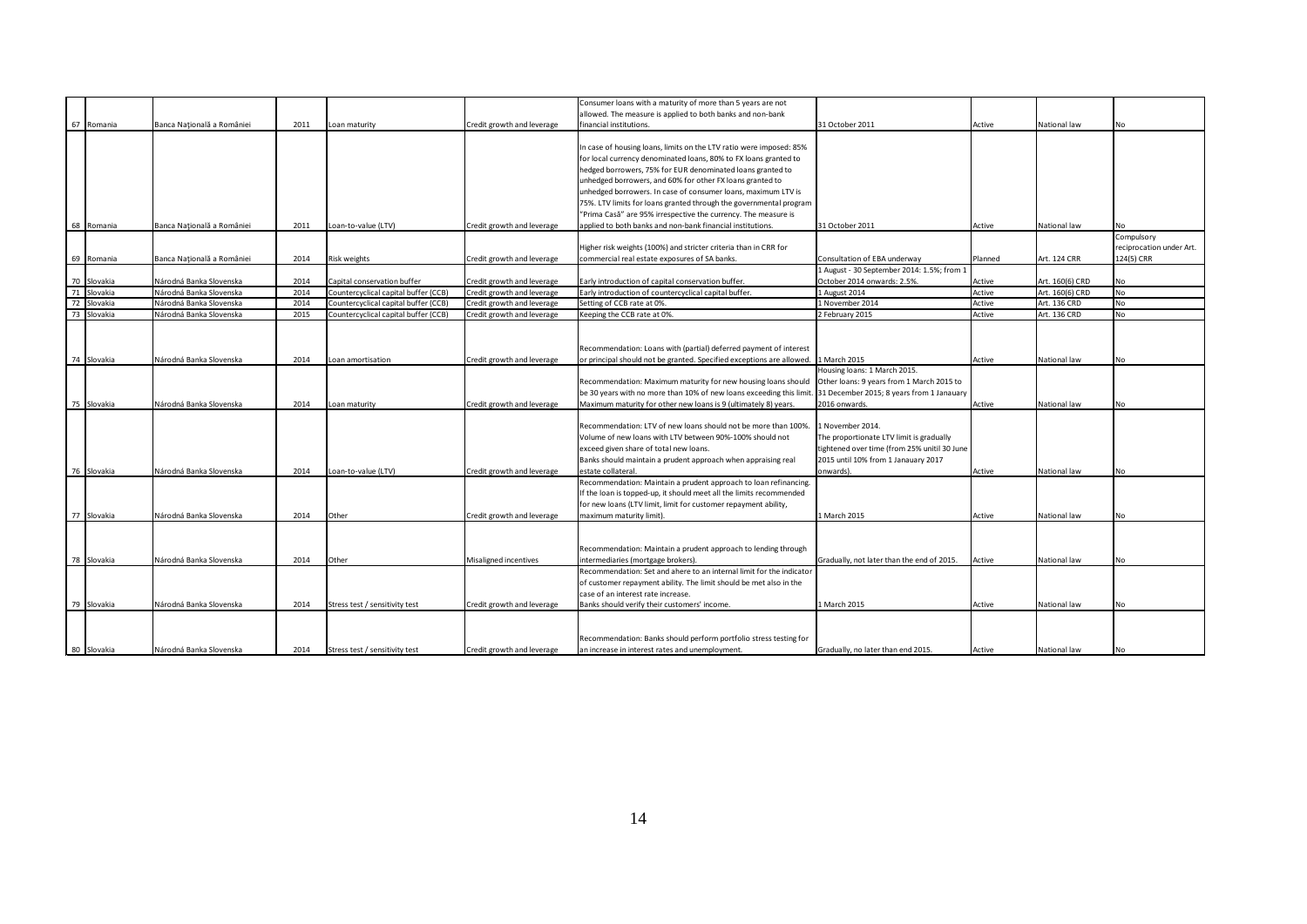|             |                            |      |                                      |                            | Consumer loans with a maturity of more than 5 years are not           |                                              |         |                 |                          |
|-------------|----------------------------|------|--------------------------------------|----------------------------|-----------------------------------------------------------------------|----------------------------------------------|---------|-----------------|--------------------------|
|             |                            |      |                                      |                            | allowed. The measure is applied to both banks and non-bank            |                                              |         |                 |                          |
| 67 Romania  | Banca Națională a României | 2011 | Loan maturity                        | Credit growth and leverage | financial institutions.                                               | 31 October 2011                              | Active  | National law    | Nο                       |
|             |                            |      |                                      |                            |                                                                       |                                              |         |                 |                          |
|             |                            |      |                                      |                            | In case of housing loans, limits on the LTV ratio were imposed: 85%   |                                              |         |                 |                          |
|             |                            |      |                                      |                            | for local currency denominated loans, 80% to FX loans granted to      |                                              |         |                 |                          |
|             |                            |      |                                      |                            | hedged borrowers, 75% for EUR denominated loans granted to            |                                              |         |                 |                          |
|             |                            |      |                                      |                            | unhedged borrowers, and 60% for other FX loans granted to             |                                              |         |                 |                          |
|             |                            |      |                                      |                            | unhedged borrowers. In case of consumer loans, maximum LTV is         |                                              |         |                 |                          |
|             |                            |      |                                      |                            | 75%. LTV limits for loans granted through the governmental program    |                                              |         |                 |                          |
|             |                            |      |                                      |                            |                                                                       |                                              |         |                 |                          |
|             |                            |      |                                      |                            | "Prima Casă" are 95% irrespective the currency. The measure is        |                                              |         |                 |                          |
| 68 Romania  | Banca Națională a României | 2011 | Loan-to-value (LTV)                  | Credit growth and leverage | applied to both banks and non-bank financial institutions.            | 31 October 2011                              | Active  | National law    | No                       |
|             |                            |      |                                      |                            |                                                                       |                                              |         |                 | Compulsory               |
|             |                            |      |                                      |                            | Higher risk weights (100%) and stricter criteria than in CRR for      |                                              |         |                 | reciprocation under Art. |
| 69 Romania  | Banca Națională a României | 2014 | <b>Risk weights</b>                  | Credit growth and leverage | commercial real estate exposures of SA banks.                         | Consultation of EBA underway                 | Planned | Art. 124 CRR    | 124(5) CRR               |
|             |                            |      |                                      |                            |                                                                       | 1 August - 30 September 2014: 1.5%; from 1   |         |                 |                          |
| 70 Slovakia | Národná Banka Slovenska    | 2014 | Capital conservation buffer          | Credit growth and leverage | Early introduction of capital conservation buffer.                    | October 2014 onwards: 2.5%.                  | Active  | Art. 160(6) CRD | No                       |
| 71 Slovakia | Národná Banka Slovenska    | 2014 | Countercyclical capital buffer (CCB) | Credit growth and leverage | Early introduction of countercyclical capital buffer.                 | 1 August 2014                                | Active  | Art. 160(6) CRD | <b>No</b>                |
| 72 Slovakia | Národná Banka Slovenska    | 2014 | Countercyclical capital buffer (CCB) | Credit growth and leverage | Setting of CCB rate at 0%.                                            | 1 November 2014                              | Active  | Art. 136 CRD    | <b>No</b>                |
| 73 Slovakia | Národná Banka Slovenska    | 2015 | Countercyclical capital buffer (CCB) | Credit growth and leverage | Keeping the CCB rate at 0%.                                           | 2 February 2015                              | Active  | Art. 136 CRD    | <b>No</b>                |
|             |                            |      |                                      |                            |                                                                       |                                              |         |                 |                          |
|             |                            |      |                                      |                            |                                                                       |                                              |         |                 |                          |
|             |                            |      |                                      |                            | Recommendation: Loans with (partial) deferred payment of interest     |                                              |         |                 |                          |
| 74 Slovakia | Národná Banka Slovenska    | 2014 | Loan amortisation                    | Credit growth and leverage | or principal should not be granted. Specified exceptions are allowed. | 1 March 2015                                 | Active  | National law    | No                       |
|             |                            |      |                                      |                            |                                                                       | Housing loans: 1 March 2015.                 |         |                 |                          |
|             |                            |      |                                      |                            | Recommendation: Maximum maturity for new housing loans should         | Other loans: 9 years from 1 March 2015 to    |         |                 |                          |
|             |                            |      |                                      |                            | be 30 years with no more than 10% of new loans exceeding this limit.  | 31 December 2015; 8 years from 1 Janauary    |         |                 |                          |
| 75 Slovakia | Národná Banka Slovenska    | 2014 | Loan maturity                        | Credit growth and leverage | Maximum maturity for other new loans is 9 (ultimately 8) years.       | 2016 onwards.                                | Active  | National law    | No                       |
|             |                            |      |                                      |                            |                                                                       |                                              |         |                 |                          |
|             |                            |      |                                      |                            |                                                                       |                                              |         |                 |                          |
|             |                            |      |                                      |                            | Recommendation: LTV of new loans should not be more than 100%.        | 1 November 2014.                             |         |                 |                          |
|             |                            |      |                                      |                            | Volume of new loans with LTV between 90%-100% should not              | The proportionate LTV limit is gradually     |         |                 |                          |
|             |                            |      |                                      |                            | exceed given share of total new loans.                                | tightened over time (from 25% unitil 30 June |         |                 |                          |
|             |                            |      |                                      |                            | Banks should maintain a prudent approach when appraising real         | 2015 until 10% from 1 Janauary 2017          |         |                 |                          |
| 76 Slovakia | Národná Banka Slovenska    | 2014 | Loan-to-value (LTV)                  | Credit growth and leverage | estate collateral.                                                    | onwards).                                    | Active  | National law    | No.                      |
|             |                            |      |                                      |                            | Recommendation: Maintain a prudent approach to loan refinancing.      |                                              |         |                 |                          |
|             |                            |      |                                      |                            | If the loan is topped-up, it should meet all the limits recommended   |                                              |         |                 |                          |
|             |                            |      |                                      |                            | for new loans (LTV limit, limit for customer repayment ability,       |                                              |         |                 |                          |
| 77 Slovakia | Národná Banka Slovenska    | 2014 | Other                                | Credit growth and leverage | maximum maturity limit).                                              | 1 March 2015                                 | Active  | National law    | No.                      |
|             |                            |      |                                      |                            |                                                                       |                                              |         |                 |                          |
|             |                            |      |                                      |                            |                                                                       |                                              |         |                 |                          |
|             |                            |      |                                      |                            | Recommendation: Maintain a prudent approach to lending through        |                                              |         |                 |                          |
| 78 Slovakia | Národná Banka Slovenska    | 2014 | Other                                | Misaligned incentives      | intermediaries (mortgage brokers).                                    | Gradually, not later than the end of 2015.   | Active  | National law    | No                       |
|             |                            |      |                                      |                            | Recommendation: Set and ahere to an internal limit for the indicator  |                                              |         |                 |                          |
|             |                            |      |                                      |                            | of customer repayment ability. The limit should be met also in the    |                                              |         |                 |                          |
|             |                            |      |                                      |                            | case of an interest rate increase.                                    |                                              |         |                 |                          |
| 79 Slovakia | Národná Banka Slovenska    | 2014 | Stress test / sensitivity test       | Credit growth and leverage | Banks should verify their customers' income.                          | 1 March 2015                                 | Active  | National law    | No                       |
|             |                            |      |                                      |                            |                                                                       |                                              |         |                 |                          |
|             |                            |      |                                      |                            |                                                                       |                                              |         |                 |                          |
|             |                            |      |                                      |                            |                                                                       |                                              |         |                 |                          |
|             |                            |      |                                      |                            | Recommendation: Banks should perform portfolio stress testing for     |                                              |         |                 |                          |
| 80 Slovakia | Národná Banka Slovenska    | 2014 | Stress test / sensitivity test       | Credit growth and leverage | an increase in interest rates and unemployment.                       | Gradually, no later than end 2015.           | Active  | National law    | No                       |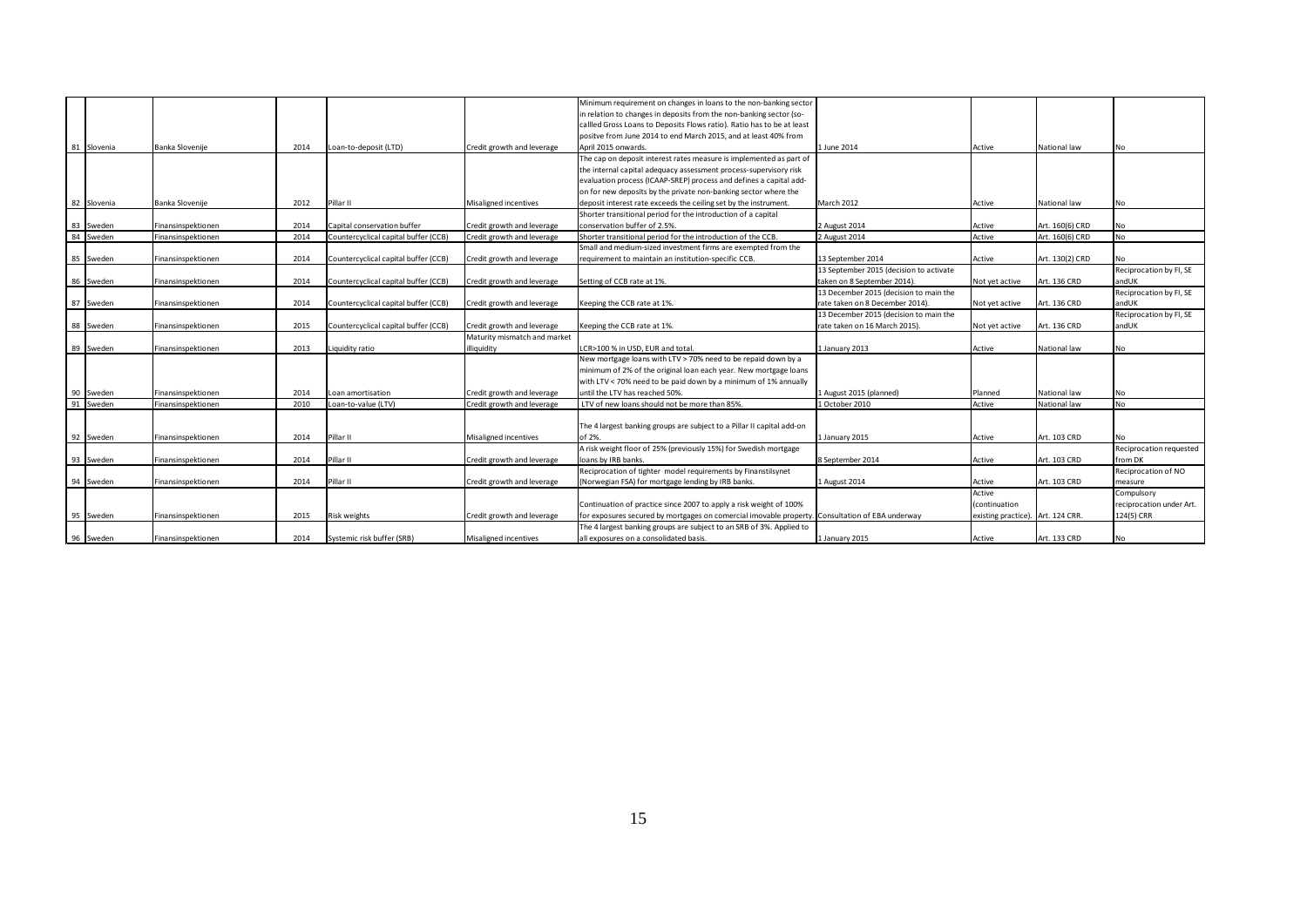|             |                    |      |                                      |                              | Minimum requirement on changes in loans to the non-banking sector                               |                                         |                                   |                 |                          |
|-------------|--------------------|------|--------------------------------------|------------------------------|-------------------------------------------------------------------------------------------------|-----------------------------------------|-----------------------------------|-----------------|--------------------------|
|             |                    |      |                                      |                              | in relation to changes in deposits from the non-banking sector (so-                             |                                         |                                   |                 |                          |
|             |                    |      |                                      |                              | callled Gross Loans to Deposits Flows ratio). Ratio has to be at least                          |                                         |                                   |                 |                          |
|             |                    |      |                                      |                              | positve from June 2014 to end March 2015, and at least 40% from                                 |                                         |                                   |                 |                          |
| 81 Slovenia | Banka Slovenije    | 2014 | Loan-to-deposit (LTD)                | Credit growth and leverage   | April 2015 onwards.                                                                             | 1 June 2014                             | Active                            | National law    | No                       |
|             |                    |      |                                      |                              | The cap on deposit interest rates measure is implemented as part of                             |                                         |                                   |                 |                          |
|             |                    |      |                                      |                              | the internal capital adequacy assessment process-supervisory risk                               |                                         |                                   |                 |                          |
|             |                    |      |                                      |                              | evaluation process (ICAAP-SREP) process and defines a capital add-                              |                                         |                                   |                 |                          |
|             |                    |      |                                      |                              | on for new deposits by the private non-banking sector where the                                 |                                         |                                   |                 |                          |
| 82 Slovenia | Banka Slovenije    |      | Pillar II                            | Misaligned incentives        | deposit interest rate exceeds the ceiling set by the instrument.                                | March 2012                              |                                   | National law    |                          |
|             |                    | 2012 |                                      |                              |                                                                                                 |                                         | Active                            |                 | <b>No</b>                |
|             |                    |      |                                      |                              | Shorter transitional period for the introduction of a capital                                   |                                         |                                   |                 |                          |
| 83 Sweden   | Finansinspektionen | 2014 | Capital conservation buffer          | Credit growth and leverage   | conservation buffer of 2.5%.                                                                    | 2 August 2014                           | Active                            | Art. 160(6) CRD | <b>No</b>                |
| 84 Sweden   | Finansinspektionen | 2014 | Countercyclical capital buffer (CCB) | Credit growth and leverage   | Shorter transitional period for the introduction of the CCB.                                    | 2 August 2014                           | Active                            | Art. 160(6) CRD | No                       |
|             |                    |      |                                      |                              | Small and medium-sized investment firms are exempted from the                                   |                                         |                                   |                 |                          |
| 85 Sweden   | Finansinspektionen | 2014 | Countercyclical capital buffer (CCB) | Credit growth and leverage   | requirement to maintain an institution-specific CCB.                                            | 13 September 2014                       | Active                            | Art. 130(2) CRD | N <sub>0</sub>           |
|             |                    |      |                                      |                              |                                                                                                 | 13 September 2015 (decision to activate |                                   |                 | Reciprocation by FI, SE  |
| 86 Sweden   | Finansinspektionen | 2014 | Countercyclical capital buffer (CCB) | Credit growth and leverage   | Setting of CCB rate at 1%.                                                                      | taken on 8 September 2014).             | Not yet active                    | Art. 136 CRD    | andUK                    |
|             |                    |      |                                      |                              |                                                                                                 | 13 December 2015 (decision to main the  |                                   |                 | Reciprocation by FI, SE  |
| 87 Sweden   | Finansinspektionen | 2014 | Countercyclical capital buffer (CCB) | Credit growth and leverage   | Keeping the CCB rate at 1%.                                                                     | rate taken on 8 December 2014).         | Not yet active                    | Art. 136 CRD    | andUK                    |
|             |                    |      |                                      |                              |                                                                                                 | 13 December 2015 (decision to main the  |                                   |                 | Reciprocation by FI, SE  |
| 88 Sweden   | Finansinspektionen | 2015 | Countercyclical capital buffer (CCB) | Credit growth and leverage   | Keeping the CCB rate at 1%.                                                                     | rate taken on 16 March 2015).           | Not yet active                    | Art. 136 CRD    | andUK                    |
|             |                    |      |                                      | Maturity mismatch and market |                                                                                                 |                                         |                                   |                 |                          |
| 89 Sweden   | Finansinspektionen | 2013 | Liquidity ratio                      | illiquidity                  | LCR>100 % in USD, EUR and total.                                                                | 1 January 2013                          | Active                            | National law    | <b>No</b>                |
|             |                    |      |                                      |                              | New mortgage loans with LTV > 70% need to be repaid down by a                                   |                                         |                                   |                 |                          |
|             |                    |      |                                      |                              | minimum of 2% of the original loan each year. New mortgage loans                                |                                         |                                   |                 |                          |
|             |                    |      |                                      |                              | with LTV < 70% need to be paid down by a minimum of 1% annually                                 |                                         |                                   |                 |                          |
| 90 Sweden   | Finansinspektionen | 2014 | Loan amortisation                    | Credit growth and leverage   | until the LTV has reached 50%.                                                                  | 1 August 2015 (planned)                 | Planned                           | National law    | <b>No</b>                |
| 91 Sweden   | Finansinspektionen | 2010 | Loan-to-value (LTV)                  | Credit growth and leverage   | LTV of new loans should not be more than 85%.                                                   | 1 October 2010                          | Active                            | National law    | No                       |
|             |                    |      |                                      |                              |                                                                                                 |                                         |                                   |                 |                          |
|             |                    |      |                                      |                              | The 4 largest banking groups are subject to a Pillar II capital add-on                          |                                         |                                   |                 |                          |
| 92 Sweden   | Finansinspektionen | 2014 | Pillar II                            | Misaligned incentives        | of 2%.                                                                                          | 1 January 2015                          | Active                            | Art. 103 CRD    | No                       |
|             |                    |      |                                      |                              | A risk weight floor of 25% (previously 15%) for Swedish mortgage                                |                                         |                                   |                 | Reciprocation requested  |
| 93 Sweden   |                    | 2014 | Pillar II                            |                              | loans by IRB banks.                                                                             | 8 September 2014                        |                                   | Art. 103 CRD    |                          |
|             | Finansinspektionen |      |                                      | Credit growth and leverage   | Reciprocation of tighter model requirements by Finanstilsynet                                   |                                         | Active                            |                 | from DK                  |
|             |                    |      |                                      |                              |                                                                                                 |                                         |                                   |                 | Reciprocation of NO      |
| 94 Sweden   | Finansinspektionen | 2014 | Pillar II                            | Credit growth and leverage   | (Norwegian FSA) for mortgage lending by IRB banks.                                              | 1 August 2014                           | Active                            | Art. 103 CRD    | measure                  |
|             |                    |      |                                      |                              |                                                                                                 |                                         | Active                            |                 | Compulsory               |
|             |                    |      |                                      |                              | Continuation of practice since 2007 to apply a risk weight of 100%                              |                                         | (continuation                     |                 | reciprocation under Art. |
| 95 Sweden   | Finansinspektionen | 2015 | <b>Risk weights</b>                  | Credit growth and leverage   | for exposures secured by mortgages on comercial imovable property. Consultation of EBA underway |                                         | existing practice). Art. 124 CRR. |                 | 124(5) CRR               |
|             |                    |      |                                      |                              | The 4 largest banking groups are subject to an SRB of 3%. Applied to                            |                                         |                                   |                 |                          |
| 96 Sweden   | Finansinspektionen | 2014 | Systemic risk buffer (SRB)           | Misaligned incentives        | all exposures on a consolidated basis.                                                          | 1 January 2015                          | Active                            | Art. 133 CRD    | <b>No</b>                |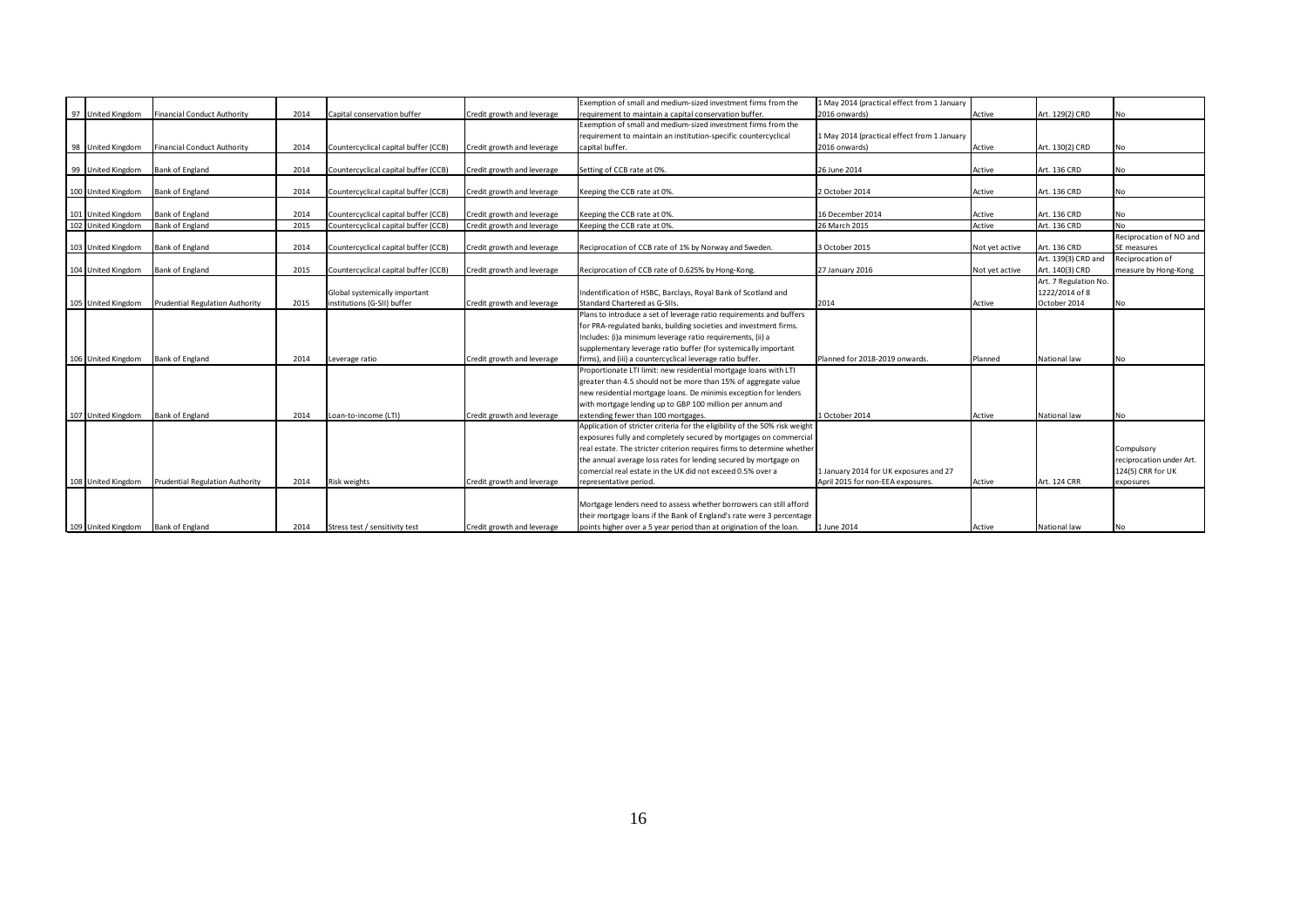|                    |                                        |      |                                      |                            | Exemption of small and medium-sized investment firms from the               | 1 May 2014 (practical effect from 1 January |                |                       |                          |
|--------------------|----------------------------------------|------|--------------------------------------|----------------------------|-----------------------------------------------------------------------------|---------------------------------------------|----------------|-----------------------|--------------------------|
| 97 United Kingdom  | Financial Conduct Authority            | 2014 | Capital conservation buffer          | Credit growth and leverage | requirement to maintain a capital conservation buffer.                      | 2016 onwards)                               | Active         | Art. 129(2) CRD       | N <sub>0</sub>           |
|                    |                                        |      |                                      |                            | Exemption of small and medium-sized investment firms from the               |                                             |                |                       |                          |
|                    |                                        |      |                                      |                            | requirement to maintain an institution-specific countercyclical             | 1 May 2014 (practical effect from 1 January |                |                       |                          |
| 98 United Kingdom  | Financial Conduct Authority            | 2014 | Countercyclical capital buffer (CCB) | Credit growth and leverage | capital buffer.                                                             | 2016 onwards)                               | Active         | Art. 130(2) CRD       | <b>No</b>                |
|                    |                                        |      |                                      |                            |                                                                             |                                             |                |                       |                          |
| 99 United Kingdom  | Bank of England                        | 2014 | Countercyclical capital buffer (CCB) | Credit growth and leverage | Setting of CCB rate at 0%.                                                  | 26 June 2014                                | Active         | Art. 136 CRD          | <b>No</b>                |
|                    |                                        |      |                                      |                            |                                                                             |                                             |                |                       |                          |
| 100 United Kingdom | Bank of England                        | 2014 | Countercyclical capital buffer (CCB) | Credit growth and leverage | Keeping the CCB rate at 0%.                                                 | 2 October 2014                              | Active         | Art. 136 CRD          | <b>No</b>                |
|                    |                                        |      |                                      |                            |                                                                             |                                             |                |                       |                          |
| 101 United Kingdom | Bank of England                        | 2014 | Countercyclical capital buffer (CCB) | Credit growth and leverage | Keeping the CCB rate at 0%.                                                 | 16 December 2014                            | Active         | Art. 136 CRD          | <b>No</b>                |
| 102 United Kingdom | <b>Bank of England</b>                 | 2015 | Countercyclical capital buffer (CCB) | Credit growth and leverage | Keeping the CCB rate at 0%.                                                 | 26 March 2015                               | Active         | Art. 136 CRD          | <b>No</b>                |
|                    |                                        |      |                                      |                            |                                                                             |                                             |                |                       | Reciprocation of NO and  |
| 103 United Kingdom | Bank of England                        | 2014 | Countercyclical capital buffer (CCB) | Credit growth and leverage | Reciprocation of CCB rate of 1% by Norway and Sweden.                       | 3 October 2015                              | Not yet active | Art. 136 CRD          | SE measures              |
|                    |                                        |      |                                      |                            |                                                                             |                                             |                | Art. 139(3) CRD and   | Reciprocation of         |
| 104 United Kingdom | Bank of England                        | 2015 | Countercyclical capital buffer (CCB) | Credit growth and leverage | Reciprocation of CCB rate of 0.625% by Hong-Kong.                           | 27 January 2016                             | Not yet active | Art. 140(3) CRD       | measure by Hong-Kong     |
|                    |                                        |      |                                      |                            |                                                                             |                                             |                | Art. 7 Regulation No. |                          |
|                    |                                        |      | Global systemically important        |                            | Indentification of HSBC, Barclays, Royal Bank of Scotland and               |                                             |                | 1222/2014 of 8        |                          |
| 105 United Kingdom | <b>Prudential Regulation Authority</b> | 2015 | institutions (G-SII) buffer          | Credit growth and leverage | Standard Chartered as G-SIIs.                                               | 2014                                        | Active         | October 2014          | No                       |
|                    |                                        |      |                                      |                            | Plans to introduce a set of leverage ratio requirements and buffers         |                                             |                |                       |                          |
|                    |                                        |      |                                      |                            | for PRA-regulated banks, building societies and investment firms.           |                                             |                |                       |                          |
|                    |                                        |      |                                      |                            | Includes: (i)a minimum leverage ratio requirements, (ii) a                  |                                             |                |                       |                          |
|                    |                                        |      |                                      |                            | supplementary leverage ratio buffer (for systemically important             |                                             |                |                       |                          |
| 106 United Kingdom | Bank of England                        | 2014 | Leverage ratio                       | Credit growth and leverage | firms), and (iii) a countercyclical leverage ratio buffer.                  | Planned for 2018-2019 onwards.              | Planned        | National law          | No                       |
|                    |                                        |      |                                      |                            | Proportionate LTI limit: new residential mortgage loans with LTI            |                                             |                |                       |                          |
|                    |                                        |      |                                      |                            | greater than 4.5 should not be more than 15% of aggregate value             |                                             |                |                       |                          |
|                    |                                        |      |                                      |                            | new residential mortgage loans. De minimis exception for lenders            |                                             |                |                       |                          |
|                    |                                        |      |                                      |                            | with mortgage lending up to GBP 100 million per annum and                   |                                             |                |                       |                          |
| 107 United Kingdom | Bank of England                        | 2014 | Loan-to-income (LTI)                 | Credit growth and leverage | extending fewer than 100 mortgages.                                         | 1 October 2014                              | Active         | National law          | <b>No</b>                |
|                    |                                        |      |                                      |                            | Application of stricter criteria for the eligibility of the 50% risk weight |                                             |                |                       |                          |
|                    |                                        |      |                                      |                            | exposures fully and completely secured by mortgages on commercial           |                                             |                |                       |                          |
|                    |                                        |      |                                      |                            | real estate. The stricter criterion requires firms to determine whether     |                                             |                |                       | Compulsory               |
|                    |                                        |      |                                      |                            | the annual average loss rates for lending secured by mortgage on            |                                             |                |                       | reciprocation under Art. |
|                    |                                        |      |                                      |                            | comercial real estate in the UK did not exceed 0.5% over a                  | 1 January 2014 for UK exposures and 27      |                |                       | 124(5) CRR for UK        |
| 108 United Kingdom | Prudential Regulation Authority        | 2014 | <b>Risk weights</b>                  | Credit growth and leverage | representative period.                                                      | April 2015 for non-EEA exposures.           | Active         | Art. 124 CRR          | exposures                |
|                    |                                        |      |                                      |                            |                                                                             |                                             |                |                       |                          |
|                    |                                        |      |                                      |                            | Mortgage lenders need to assess whether borrowers can still afford          |                                             |                |                       |                          |
|                    |                                        |      |                                      |                            | their mortgage loans if the Bank of England's rate were 3 percentage        |                                             |                |                       |                          |
|                    |                                        |      |                                      |                            |                                                                             |                                             |                |                       |                          |